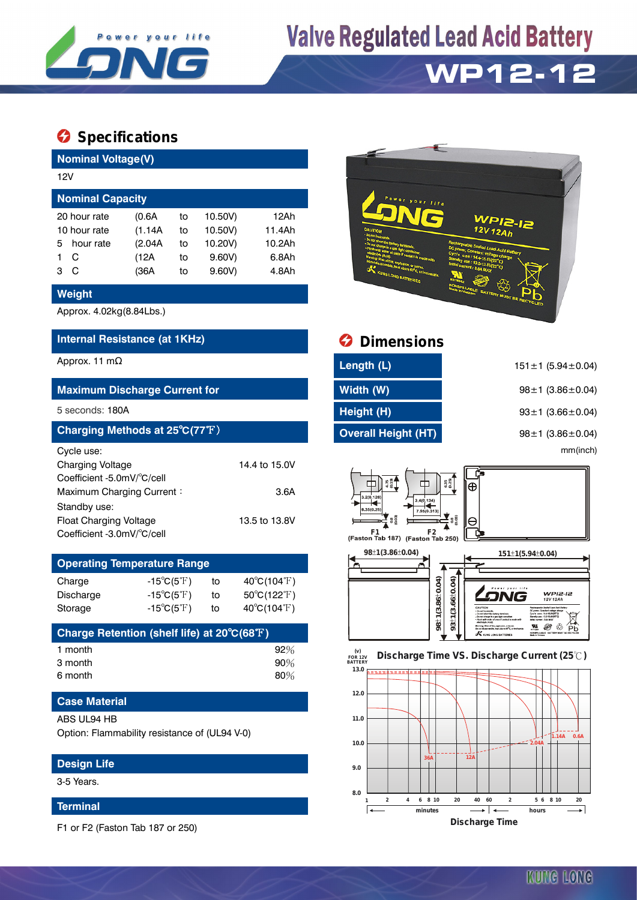

# **Valve Regulated Lead Acid Battery**

# **WP12-12**

# **Specifications**

| <b>Nominal Voltage(V)</b>                      |           |         |    |         |        |  |  |  |  |
|------------------------------------------------|-----------|---------|----|---------|--------|--|--|--|--|
|                                                | 12V       |         |    |         |        |  |  |  |  |
| <b>Nominal Capacity</b>                        |           |         |    |         |        |  |  |  |  |
| 12Ah<br>10.50V)<br>20 hour rate<br>(0.6A<br>to |           |         |    |         |        |  |  |  |  |
| 10 hour rate                                   |           | (1.14A) | to | 10.50V) | 11.4Ah |  |  |  |  |
| 5.                                             | hour rate | (2.04A) | to | 10.20V) | 10.2Ah |  |  |  |  |
|                                                | C         | (12A    | to | 9.60V   | 6.8Ah  |  |  |  |  |
| з                                              | C         | (36A    | to | 9.60V   | 4.8Ah  |  |  |  |  |

### **Weight**

Approx. 4.02kg(8.84Lbs.)

## **Internal Resistance (at 1KHz)**

### **Maximum Discharge Current for**

#### 5 seconds: **180A**

| Charging Methods at 25°C(77°F) |               |  |  |  |  |  |  |
|--------------------------------|---------------|--|--|--|--|--|--|
| Cycle use:                     |               |  |  |  |  |  |  |
| <b>Charging Voltage</b>        | 14.4 to 15.0V |  |  |  |  |  |  |
| Coefficient -5.0mV/°C/cell     |               |  |  |  |  |  |  |
| Maximum Charging Current:      | 3.6A          |  |  |  |  |  |  |
| Standby use:                   |               |  |  |  |  |  |  |
| <b>Float Charging Voltage</b>  | 13.5 to 13.8V |  |  |  |  |  |  |
| Coefficient -3.0mV/°C/cell     |               |  |  |  |  |  |  |

# **Operating Temperature Range** Charge  $-15^{\circ}C(5^{\circ}F)$  to  $40^{\circ}C(104^{\circ}F)$ Discharge  $-15^{\circ}C(5^{\circ}F)$  to  $50^{\circ}C(122^{\circ}F)$ Storage  $-15^{\circ}C(5^{\circ}F)$  to  $40^{\circ}C(104^{\circ}F)$

| Charge Retention (shelf life) at 20°C(68°F) |        |
|---------------------------------------------|--------|
| 1 month                                     | $92\%$ |
| 3 month                                     | 90%    |
| 6 month                                     | 80%    |

### **Case Material**

#### ABS UL94 HB

Option: Flammability resistance of (UL94 V-0)

### **Design Life**

3-5 Years.

#### **Terminal**

F1 or F2 (Faston Tab 187 or 250)



| <b>Internal Resistance (at 1KHz)</b> | <b>O</b> Dimensions        |                               |  |  |  |
|--------------------------------------|----------------------------|-------------------------------|--|--|--|
| Approx. 11 mΩ                        | Length (L)                 | $151 \pm 1$ (5.94 $\pm$ 0.04) |  |  |  |
| <b>Maximum Discharge Current for</b> | Width (W)                  | $98 \pm 1$ (3.86 $\pm$ 0.04)  |  |  |  |
| 5 seconds: 180A                      | Height (H)                 | $93 \pm 1$ (3.66 $\pm$ 0.04)  |  |  |  |
| Charging Methods at 25°C(77°F)       | <b>Overall Height (HT)</b> | $98 \pm 1$ (3.86 $\pm$ 0.04)  |  |  |  |
| Cvcle use:                           |                            | mm(inch)                      |  |  |  |





# KUNG LONG